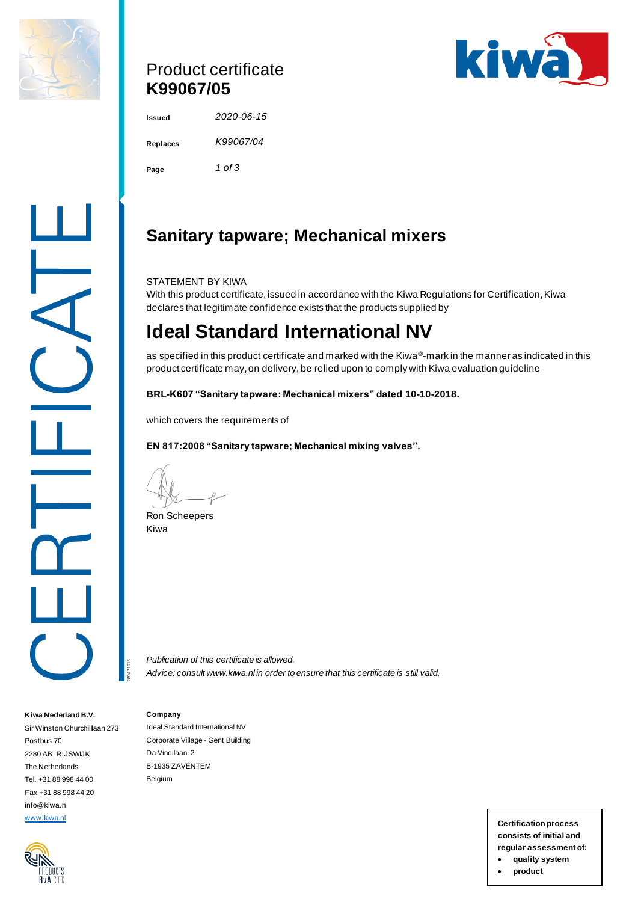

## Product certificate **K99067/05**



**Issued** *2020-06-15* **Replaces** *K99067/04* **Page** *1 of 3*

# **Sanitary tapware; Mechanical mixers**

STATEMENT BY KIWA

With this product certificate, issued in accordance with the Kiwa Regulations for Certification, Kiwa declares that legitimate confidence exists that the products supplied by

# **Ideal Standard International NV**

as specified in this product certificate and marked with the Kiwa®-mark in the manner as indicated in this product certificate may, on delivery, be relied upon to comply with Kiwa evaluation guideline

**BRL-K607 "Sanitary tapware: Mechanical mixers" dated 10-10-2018.**

which covers the requirements of

**EN 817:2008 "Sanitary tapware; Mechanical mixing valves".**

Ron Scheepers Kiwa

*Publication of this certificate is allowed. Advice: consult www.kiwa.nl in order to ensure that this certificate is still valid.*

#### **Company**

289/171015

Ideal Standard International NV Corporate Village - Gent Building Da Vincilaan 2 B-1935 ZAVENTEM Belgium

[www.kiwa.nl](http://www.kiwa.nl/) **Certification process consists of initial and regular assessment of:** • **quality system**

• **product**

RvA C IIC

**Kiwa Nederland B.V.** Sir Winston Churchilllaan 273

Postbus 70 2280 AB RIJSWIJK The Netherlands Tel. +31 88 998 44 00 Fax +31 88 998 44 20 info@kiwa.nl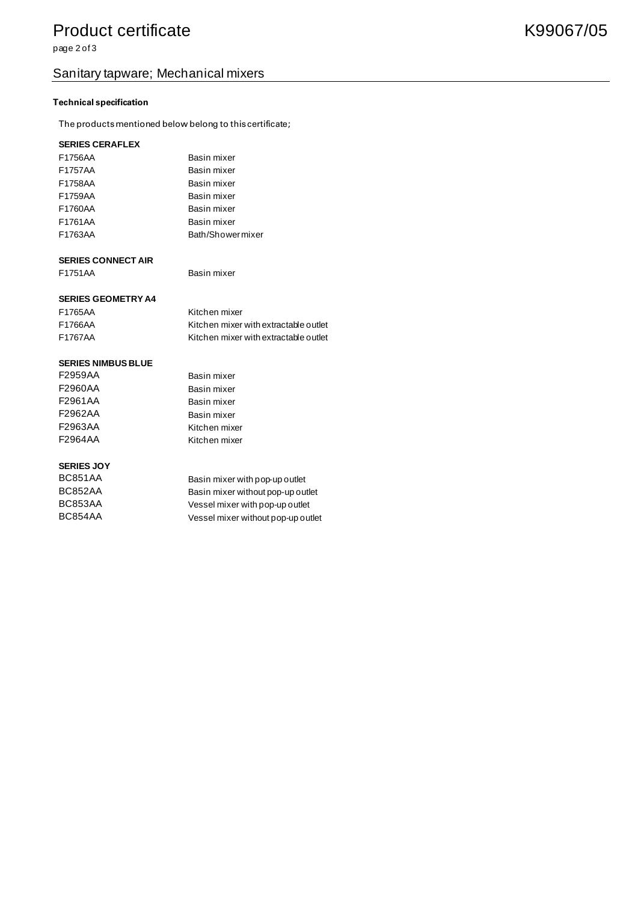## Product certificate **K99067/05**

page 2 of 3

## Sanitary tapware; Mechanical mixers

#### **Technical specification**

The products mentioned below belong to this certificate;

#### **SERIES CERAFLEX**

| F1756AA | Basin mixer      |
|---------|------------------|
| F1757AA | Basin mixer      |
| F1758AA | Basin mixer      |
| F1759AA | Basin mixer      |
| F1760AA | Basin mixer      |
| F1761AA | Basin mixer      |
| F1763AA | Bath/Showermixer |

#### **SERIES CONNECT AIR**

F1751AA Basin mixer

#### **SERIES GEOMETRY A4**

| F1765AA | Kitchen mixer                         |
|---------|---------------------------------------|
| F1766AA | Kitchen mixer with extractable outlet |
| F1767AA | Kitchen mixer with extractable outlet |

Basin mixer Basin mixer Basin mixer Basin mixer Kitchen mixer

Kitchen mixer

#### **SERIES NIMBUS BLUE**

| F2959AA |  |
|---------|--|
| F2960AA |  |
| F2961AA |  |
| F2962AA |  |
| F2963AA |  |
| F2964AA |  |

#### **SERIES JOY**

| BC851AA | Basin mixer with pop-up outlet     |
|---------|------------------------------------|
| BC852AA | Basin mixer without pop-up outlet  |
| BC853AA | Vessel mixer with pop-up outlet    |
| BC854AA | Vessel mixer without pop-up outlet |